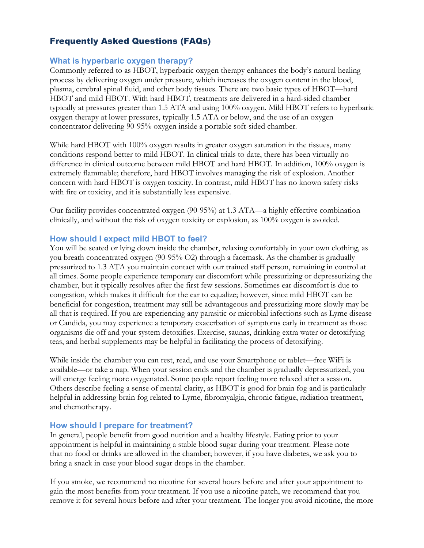# Frequently Asked Questions (FAQs)

## **What is hyperbaric oxygen therapy?**

Commonly referred to as HBOT, hyperbaric oxygen therapy enhances the body's natural healing process by delivering oxygen under pressure, which increases the oxygen content in the blood, plasma, cerebral spinal fluid, and other body tissues. There are two basic types of HBOT—hard HBOT and mild HBOT. With hard HBOT, treatments are delivered in a hard-sided chamber typically at pressures greater than 1.5 ATA and using 100% oxygen. Mild HBOT refers to hyperbaric oxygen therapy at lower pressures, typically 1.5 ATA or below, and the use of an oxygen concentrator delivering 90-95% oxygen inside a portable soft-sided chamber.

While hard HBOT with 100% oxygen results in greater oxygen saturation in the tissues, many conditions respond better to mild HBOT. In clinical trials to date, there has been virtually no difference in clinical outcome between mild HBOT and hard HBOT. In addition, 100% oxygen is extremely flammable; therefore, hard HBOT involves managing the risk of explosion. Another concern with hard HBOT is oxygen toxicity. In contrast, mild HBOT has no known safety risks with fire or toxicity, and it is substantially less expensive.

Our facility provides concentrated oxygen (90-95%) at 1.3 ATA—a highly effective combination clinically, and without the risk of oxygen toxicity or explosion, as 100% oxygen is avoided.

# **How should I expect mild HBOT to feel?**

You will be seated or lying down inside the chamber, relaxing comfortably in your own clothing, as you breath concentrated oxygen (90-95% O2) through a facemask. As the chamber is gradually pressurized to 1.3 ATA you maintain contact with our trained staff person, remaining in control at all times. Some people experience temporary ear discomfort while pressurizing or depressurizing the chamber, but it typically resolves after the first few sessions. Sometimes ear discomfort is due to congestion, which makes it difficult for the ear to equalize; however, since mild HBOT can be beneficial for congestion, treatment may still be advantageous and pressurizing more slowly may be all that is required. If you are experiencing any parasitic or microbial infections such as Lyme disease or Candida, you may experience a temporary exacerbation of symptoms early in treatment as those organisms die off and your system detoxifies. Exercise, saunas, drinking extra water or detoxifying teas, and herbal supplements may be helpful in facilitating the process of detoxifying.

While inside the chamber you can rest, read, and use your Smartphone or tablet—free WiFi is available—or take a nap. When your session ends and the chamber is gradually depressurized, you will emerge feeling more oxygenated. Some people report feeling more relaxed after a session. Others describe feeling a sense of mental clarity, as HBOT is good for brain fog and is particularly helpful in addressing brain fog related to Lyme, fibromyalgia, chronic fatigue, radiation treatment, and chemotherapy.

# **How should I prepare for treatment?**

In general, people benefit from good nutrition and a healthy lifestyle. Eating prior to your appointment is helpful in maintaining a stable blood sugar during your treatment. Please note that no food or drinks are allowed in the chamber; however, if you have diabetes, we ask you to bring a snack in case your blood sugar drops in the chamber.

If you smoke, we recommend no nicotine for several hours before and after your appointment to gain the most benefits from your treatment. If you use a nicotine patch, we recommend that you remove it for several hours before and after your treatment. The longer you avoid nicotine, the more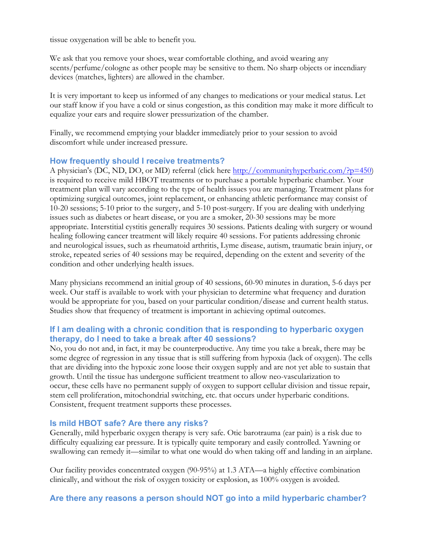tissue oxygenation will be able to benefit you.

We ask that you remove your shoes, wear comfortable clothing, and avoid wearing any scents/perfume/cologne as other people may be sensitive to them. No sharp objects or incendiary devices (matches, lighters) are allowed in the chamber.

It is very important to keep us informed of any changes to medications or your medical status. Let our staff know if you have a cold or sinus congestion, as this condition may make it more difficult to equalize your ears and require slower pressurization of the chamber.

Finally, we recommend emptying your bladder immediately prior to your session to avoid discomfort while under increased pressure.

#### **How frequently should I receive treatments?**

A physician's (DC, ND, DO, or MD) referral (click here http://communityhyperbaric.com/?p=450) is required to receive mild HBOT treatments or to purchase a portable hyperbaric chamber. Your treatment plan will vary according to the type of health issues you are managing. Treatment plans for optimizing surgical outcomes, joint replacement, or enhancing athletic performance may consist of 10-20 sessions; 5-10 prior to the surgery, and 5-10 post-surgery. If you are dealing with underlying issues such as diabetes or heart disease, or you are a smoker, 20-30 sessions may be more appropriate. Interstitial cystitis generally requires 30 sessions. Patients dealing with surgery or wound healing following cancer treatment will likely require 40 sessions. For patients addressing chronic and neurological issues, such as rheumatoid arthritis, Lyme disease, autism, traumatic brain injury, or stroke, repeated series of 40 sessions may be required, depending on the extent and severity of the condition and other underlying health issues.

Many physicians recommend an initial group of 40 sessions, 60-90 minutes in duration, 5-6 days per week. Our staff is available to work with your physician to determine what frequency and duration would be appropriate for you, based on your particular condition/disease and current health status. Studies show that frequency of treatment is important in achieving optimal outcomes.

## **If I am dealing with a chronic condition that is responding to hyperbaric oxygen therapy, do I need to take a break after 40 sessions?**

No, you do not and, in fact, it may be counterproductive. Any time you take a break, there may be some degree of regression in any tissue that is still suffering from hypoxia (lack of oxygen). The cells that are dividing into the hypoxic zone loose their oxygen supply and are not yet able to sustain that growth. Until the tissue has undergone sufficient treatment to allow neo-vascularization to occur, these cells have no permanent supply of oxygen to support cellular division and tissue repair, stem cell proliferation, mitochondrial switching, etc. that occurs under hyperbaric conditions. Consistent, frequent treatment supports these processes.

## **Is mild HBOT safe? Are there any risks?**

Generally, mild hyperbaric oxygen therapy is very safe. Otic barotrauma (ear pain) is a risk due to difficulty equalizing ear pressure. It is typically quite temporary and easily controlled. Yawning or swallowing can remedy it—similar to what one would do when taking off and landing in an airplane.

Our facility provides concentrated oxygen (90-95%) at 1.3 ATA—a highly effective combination clinically, and without the risk of oxygen toxicity or explosion, as 100% oxygen is avoided.

#### **Are there any reasons a person should NOT go into a mild hyperbaric chamber?**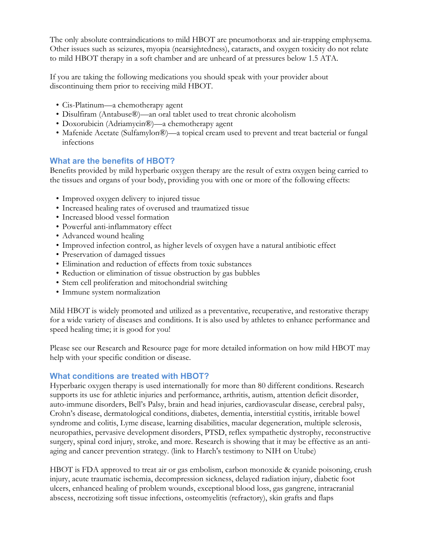The only absolute contraindications to mild HBOT are pneumothorax and air-trapping emphysema. Other issues such as seizures, myopia (nearsightedness), cataracts, and oxygen toxicity do not relate to mild HBOT therapy in a soft chamber and are unheard of at pressures below 1.5 ATA.

If you are taking the following medications you should speak with your provider about discontinuing them prior to receiving mild HBOT.

- Cis-Platinum—a chemotherapy agent
- Disulfiram (Antabuse®)—an oral tablet used to treat chronic alcoholism
- Doxorubicin (Adriamycin®)—a chemotherapy agent
- Mafenide Acetate (Sulfamylon®)—a topical cream used to prevent and treat bacterial or fungal infections

# **What are the benefits of HBOT?**

Benefits provided by mild hyperbaric oxygen therapy are the result of extra oxygen being carried to the tissues and organs of your body, providing you with one or more of the following effects:

- Improved oxygen delivery to injured tissue
- Increased healing rates of overused and traumatized tissue
- Increased blood vessel formation
- Powerful anti-inflammatory effect
- Advanced wound healing
- Improved infection control, as higher levels of oxygen have a natural antibiotic effect
- Preservation of damaged tissues
- Elimination and reduction of effects from toxic substances
- Reduction or elimination of tissue obstruction by gas bubbles
- Stem cell proliferation and mitochondrial switching
- Immune system normalization

Mild HBOT is widely promoted and utilized as a preventative, recuperative, and restorative therapy for a wide variety of diseases and conditions. It is also used by athletes to enhance performance and speed healing time; it is good for you!

Please see our Research and Resource page for more detailed information on how mild HBOT may help with your specific condition or disease.

# **What conditions are treated with HBOT?**

Hyperbaric oxygen therapy is used internationally for more than 80 different conditions. Research supports its use for athletic injuries and performance, arthritis, autism, attention deficit disorder, auto-immune disorders, Bell's Palsy, brain and head injuries, cardiovascular disease, cerebral palsy, Crohn's disease, dermatological conditions, diabetes, dementia, interstitial cystitis, irritable bowel syndrome and colitis, Lyme disease, learning disabilities, macular degeneration, multiple sclerosis, neuropathies, pervasive development disorders, PTSD, reflex sympathetic dystrophy, reconstructive surgery, spinal cord injury, stroke, and more. Research is showing that it may be effective as an antiaging and cancer prevention strategy. (link to Harch's testimony to NIH on Utube)

HBOT is FDA approved to treat air or gas embolism, carbon monoxide & cyanide poisoning, crush injury, acute traumatic ischemia, decompression sickness, delayed radiation injury, diabetic foot ulcers, enhanced healing of problem wounds, exceptional blood loss, gas gangrene, intracranial abscess, necrotizing soft tissue infections, osteomyelitis (refractory), skin grafts and flaps